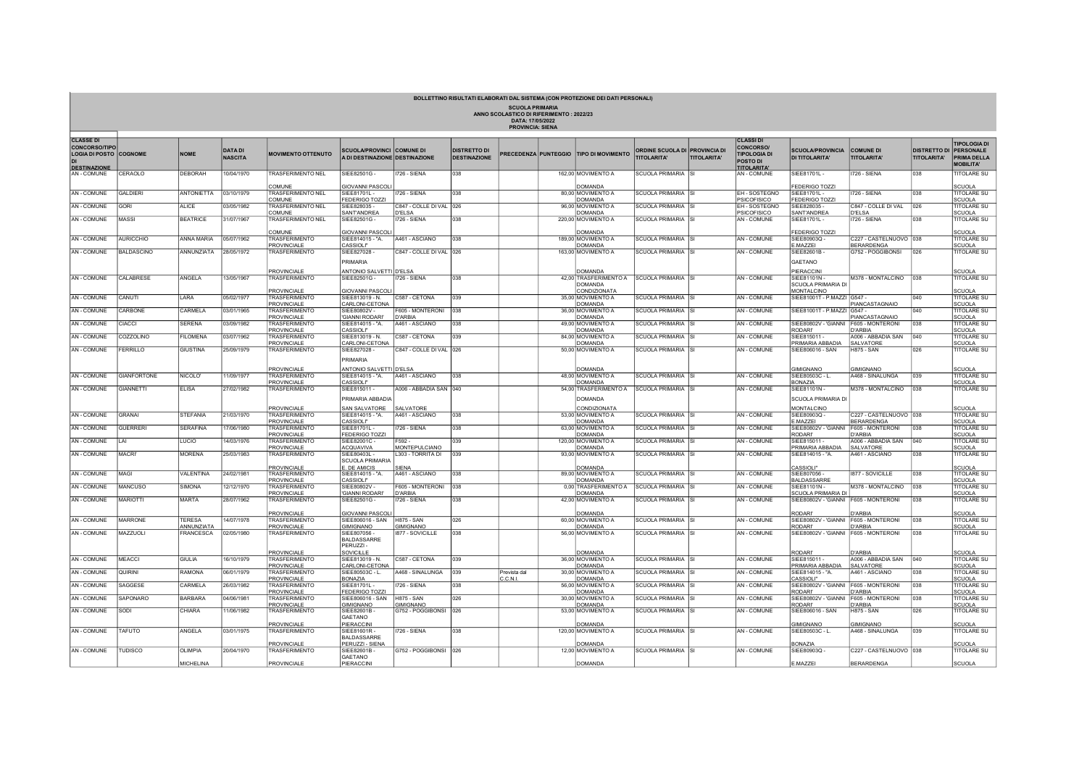| <b>SCUOLA PRIMARIA</b><br>ANNO SCOLASTICO DI RIFERIMENTO: 2022/23<br>DATA: 17/05/2022<br><b>PROVINCIA: SIENA</b> |                    |                   |                                  |                                                    |                                                                    |                                   |                                            |                      |  |                                                                                |                                                     |                    |                                                                                               |                                                             |                                             |                    |                                                                                                |
|------------------------------------------------------------------------------------------------------------------|--------------------|-------------------|----------------------------------|----------------------------------------------------|--------------------------------------------------------------------|-----------------------------------|--------------------------------------------|----------------------|--|--------------------------------------------------------------------------------|-----------------------------------------------------|--------------------|-----------------------------------------------------------------------------------------------|-------------------------------------------------------------|---------------------------------------------|--------------------|------------------------------------------------------------------------------------------------|
| <b>CLASSE DI</b><br><b>CONCORSO/TIPO</b><br><b>LOGIA DI POSTO COGNOME</b><br><b>DESTINAZIONE</b>                 |                    | <b>NOME</b>       | <b>DATA DI</b><br><b>NASCITA</b> | <b>MOVIMENTO OTTENUTO</b>                          | <b>SCUOLA/PROVINCI COMUNE DI</b><br>A DI DESTINAZIONE DESTINAZIONE |                                   | <b>DISTRETTO DI</b><br><b>DESTINAZIONE</b> |                      |  | PRECEDENZA PUNTEGGIO TIPO DI MOVIMENTO                                         | ORDINE SCUOLA DI PROVINCIA DI<br><b>TITOLARITA'</b> | <b>TITOLARITA'</b> | <b>CLASSI DI</b><br><b>CONCORSO/</b><br><b>TIPOLOGIA DI</b><br>POSTO DI<br><b>TITOLARITA'</b> | <b>SCUOLA/PROVINCIA</b><br><b>DI TITOLARITA'</b>            | <b>COMUNE DI</b><br><b>TITOLARITA'</b>      | <b>TITOLARITA'</b> | <b>TIPOLOGIA DI</b><br><b>DISTRETTO DI PERSONALE</b><br><b>PRIMA DELLA</b><br><b>MOBILITA'</b> |
| AN - COMUNE                                                                                                      | CERAOLO            | DEBORAH           | 10/04/1970                       | <b>TRASFERIMENTO NEL</b>                           | SIEE82501G -                                                       | <b>1726 - SIENA</b>               | 038                                        |                      |  | 162.00 MOVIMENTO A                                                             | SCUOLA PRIMARIA SI                                  |                    | AN - COMUNE                                                                                   | SIEE81701L -                                                | <b>1726 - SIENA</b>                         | 038                | <b>TITOLARE SU</b>                                                                             |
|                                                                                                                  | <b>GALDIERI</b>    | <b>ANTONIETTA</b> | 03/10/1979                       | COMUNE                                             | GIOVANNI PASCOL<br>SIFF81701L                                      | 726 - SIFNA                       | 038                                        |                      |  | DOMANDA                                                                        |                                                     |                    | EH-SOSTEGNO                                                                                   | <b>EDERIGO TOZZI</b><br>SIFF81701L-                         |                                             | 038                | SCUOLA                                                                                         |
| AN - COMUNE                                                                                                      |                    |                   |                                  | <b>TRASFERIMENTO NEL</b><br>COMUNE                 | <b>FEDERIGO TOZZI</b>                                              |                                   |                                            |                      |  | 80,00 MOVIMENTO A<br>DOMANDA                                                   | <b>SCUOLA PRIMARIA</b>                              |                    | PSICOFISICO                                                                                   | EDERIGO TOZZI                                               | I726 - SIENA                                |                    | <b>TITOLARE SU</b><br>SCUOLA                                                                   |
| AN - COMUNE                                                                                                      | <b>GORI</b>        | ALICE             | 03/05/1982                       | <b>TRASFERIMENTO NEL</b><br><b>COMUNE</b>          | SIEE828035-<br>SANT'ANDREA                                         | C847 - COLLE DI VAL 026<br>D'ELSA |                                            |                      |  | 96,00 MOVIMENTO A<br>DOMANDA                                                   | <b>SCUOLA PRIMARIA</b>                              |                    | EH-SOSTEGNO<br>PSICOFISICO                                                                    | SIEE828035-<br><b>ANT'ANDREA</b>                            | C847 - COLLE DI VAL<br><b>D'ELSA</b>        | 026                | <b>TITOLARE SU</b><br><b>SCLIOLA</b>                                                           |
| AN - COMUNE                                                                                                      | <b>MASSI</b>       | <b>BEATRICE</b>   | 31/07/1967                       | <b>TRASFERIMENTO NEL</b>                           | SIEE82501G -                                                       | <b>1726 - SIENA</b>               | 038                                        |                      |  | 220.00 MOVIMENTO A                                                             | SCUOLA PRIMARIA SI                                  |                    | AN - COMUNE                                                                                   | SIEE81701L-                                                 | I726 - SIENA                                | 038                | <b>TITOLARE SU</b>                                                                             |
|                                                                                                                  |                    | <b>ANNA MARIA</b> |                                  | COMUNE                                             | <b>GIOVANNI PASCOL</b>                                             |                                   | 038                                        |                      |  | <b>DOMANDA</b>                                                                 |                                                     |                    |                                                                                               | <b>EDERIGO TOZZI</b><br>SIFF80903O                          |                                             |                    | SCUOLA                                                                                         |
| <b>AN - COMUNE</b>                                                                                               | <b>AURICCHIO</b>   |                   | 05/07/1962                       | <b>TRASFERIMENTO</b><br><b>PROVINCIALE</b>         | SIEE814015 - "A.<br>CASSIOLI"                                      | A461 - ASCIANO                    |                                            |                      |  | 189,00 MOVIMENTO A<br>DOMANDA                                                  | <b>SCUOLA PRIMARIA</b>                              |                    | AN - COMUNE                                                                                   | MAZZEI                                                      | C227 - CASTELNUOVO 038<br><b>BERARDENGA</b> |                    | <b>TITOLARE SU</b><br><b>SCUOLA</b>                                                            |
| AN - COMUNE                                                                                                      | <b>BALDASCINO</b>  | ANNUNZIATA        | 28/05/1972                       | <b>TRASFERIMENTO</b>                               | SIEE827028-<br>PRIMARIA                                            | C847 - COLLE DI VAL 026           |                                            |                      |  | 163,00 MOVIMENTO A                                                             | SCUOLA PRIMARIA SI                                  |                    | <b>AN-COMUNE</b>                                                                              | SIEE82601B<br>GAETANO                                       | G752 - POGGIBONSI                           | 026                | <b>TITOLARE SU</b>                                                                             |
| AN - COMUNE                                                                                                      | CALABRESE          | ANGELA            | 13/05/1967                       | PROVINCIALE<br><b>TRASFERIMENTO</b><br>PROVINCIALE | ANTONIO SALVETTI D'ELSA<br>SIEE82501G -<br><b>GIOVANNI PASCOL</b>  | <b>1726 - SIENA</b>               | 038                                        |                      |  | DOMANDA<br>42,00 TRASFERIMENTO A SCUOLA PRIMARIA SI<br>DOMANDA<br>CONDIZIONATA |                                                     |                    | <b>AN-COMUNE</b>                                                                              | PIERACCINI<br>SIEE81101N<br>SCUOLA PRIMARIA D<br>MONTALCINO | M378 - MONTALCINO                           | 038                | <b>SCUOLA</b><br>TITOLARE SU<br><b>SCUOLA</b>                                                  |
| AN - COMUNE                                                                                                      | CANUTI             | LARA              | 05/02/1977                       | TRASFERIMENTO                                      | SIEE813019 - N.                                                    | C587 - CETONA                     | 039                                        |                      |  | 35,00 MOVIMENTO A                                                              | SCUOLA PRIMARIA SI                                  |                    | AN - COMUNE                                                                                   | SIEE81001T - P.MAZZI G547 -                                 |                                             | 040                | <b>TITOLARE SU</b>                                                                             |
| AN - COMUNE                                                                                                      | CARBONE            | CARMELA           | 03/01/1965                       | PROVINCIALE<br>TRASFERIMENTO<br>PROVINCIAL F       | CARLONI-CETONA<br>SIFF80802V-<br><b>GIANNI RODARI'</b>             | F605 - MONTERONI<br>D'ARBIA       | 038                                        |                      |  | <b>DOMANDA</b><br>36,00 MOVIMENTO A<br>DOMANDA                                 | <b>SCUOLA PRIMARIA</b>                              |                    | <b>AN-COMUNE</b>                                                                              | SIEE81001T - P.MAZZI                                        | PIANCASTAGNAIO<br>G547<br>PIANCASTAGNAIO    | 040                | SCUOLA<br><b>TITOLARE SU</b><br>SCUOLA                                                         |
| AN - COMUNE                                                                                                      | CIACCI             | <b>SERENA</b>     | 03/09/1982                       | TRASFERIMENTO<br><b>PROVINCIALE</b>                | SIEE814015 - "A.<br>CASSIOLI"                                      | A461 - ASCIANO                    | 038                                        |                      |  | 49,00 MOVIMENTO A<br>DOMANDA                                                   | SCUOLA PRIMARIA SI                                  |                    | <b>AN-COMUNE</b>                                                                              | SIEE80802V - 'GIANNI<br><b>RODARI</b>                       | F605 - MONTERONI<br><b>D'ARBIA</b>          | 038                | <b>ITOLARE SU</b><br><b>SCUOLA</b>                                                             |
| AN - COMUNE                                                                                                      | COZZOLINO          | <b>FILOMENA</b>   | 03/07/1962                       | <b>TRASFERIMENTO</b><br>PROVINCIALE                | SIEE813019 - N.<br>CARLONI-CETONA                                  | C587 - CETONA                     | 039                                        |                      |  | 84,00 MOVIMENTO A<br>DOMANDA                                                   | <b>SCUOLA PRIMARIA</b>                              |                    | AN - COMUNE                                                                                   | SIEE815011-<br>RIMARIA ABBADIA                              | A006 - ABBADIA SAN<br>SALVATORE             | 040                | <b>TITOLARE SU</b><br>SCUOLA                                                                   |
| AN - COMUNE                                                                                                      | <b>FERRILLO</b>    | GIUSTINA          | 25/09/1979                       | <b>TRASFFRIMENTO</b>                               | SIEE827028-<br><b>PRIMARIA</b>                                     | C847 - COLLE DI VAL 026           |                                            |                      |  | 50.00 MOVIMENTO A                                                              | SCUOLA PRIMARIA SI                                  |                    | <b>AN-COMUNE</b>                                                                              | SIEE806016 - SAN                                            | <b>H875 - SAN</b>                           | 026                | TITOLARE SU                                                                                    |
| AN - COMUNE                                                                                                      | <b>GIANFORTONE</b> | NICOLO'           | 1/09/1977                        | PROVINCIALE<br><b>TRASFERIMENTO</b>                | ANTONIO SALVETTI D'ELSA<br>SIFF814015 - "A                         | A461 - ASCIANO                    | 038                                        |                      |  | <b>DOMANDA</b><br>48.00 MOVIMENTO A                                            | <b>SCUOLA PRIMARIA</b>                              |                    | AN - COMUNE                                                                                   | <b>SIMIGNANO</b><br>SIEE80503C - L.                         | <b>GIMIGNANO</b><br>A468 - SINALUNGA        | 039                | SCUOLA<br><b>TITOLARE SU</b>                                                                   |
|                                                                                                                  |                    |                   |                                  | PROVINCIALE                                        | CASSIOLI"                                                          |                                   |                                            |                      |  | <b>DOMANDA</b>                                                                 |                                                     |                    |                                                                                               | <b>BONAZIA</b>                                              |                                             |                    | CUOLA                                                                                          |
| AN - COMUNE                                                                                                      | <b>GIANNETTI</b>   | <b>ELISA</b>      | 27/02/1982                       | <b>TRASFERIMENTO</b>                               | SIEE815011 -<br>PRIMARIA ABBADIA                                   | A006 - ABBADIA SAN 040            |                                            |                      |  | 54,00 TRASFERIMENTO A<br>DOMANDA                                               | SCUOLA PRIMARIA SI                                  |                    | AN - COMUNE                                                                                   | SIEE81101N -<br>SCUOLA PRIMARIA DI                          | M378 - MONTALCINO                           | 038                | <b>TITOLARE SU</b>                                                                             |
| <b>AN-COMUNE</b>                                                                                                 | <b>GRANAI</b>      | STEFANIA          | 21/03/1970                       | PROVINCIALE<br><b>TRASFERIMENTO</b>                | SAN SALVATORE<br>SIEE814015 - "A.                                  | SALVATORE<br>A461 - ASCIANO       | 038                                        |                      |  | CONDIZIONATA<br>53,00 MOVIMENTO A                                              | SCUOLA PRIMARIA SI                                  |                    | <b>AN-COMUNE</b>                                                                              | MONTALCINO<br>SIEE80903Q-                                   | C227 - CASTELNUOVO 038                      |                    | <b>SCUOLA</b><br>TITOLARE SU                                                                   |
|                                                                                                                  |                    |                   |                                  | PROVINCIALE                                        | CASSIOLI"                                                          |                                   |                                            |                      |  | DOMANDA                                                                        |                                                     |                    |                                                                                               | MAZZEI                                                      | BERARDENGA                                  |                    | SCUOLA                                                                                         |
| <b>AN-COMUNE</b>                                                                                                 | <b>GUERRERI</b>    | <b>SERAFINA</b>   | 17/06/1980                       | <b>TRASFERIMENTO</b><br><b>PROVINCIALE</b>         | SIEE81701L-<br>FEDERIGO TOZZI                                      | <b>1726 - SIENA</b>               | 038                                        |                      |  | 63,00 MOVIMENTO A<br>DOMANDA                                                   | <b>SCUOLA PRIMARIA</b>                              |                    | <b>AN-COMUNE</b>                                                                              | SIEE80802V - 'GIANNI<br><b>RODARI'</b>                      | F605 - MONTERONI<br><b>D'ARBIA</b>          | 038                | <b>TITOLARE SU</b><br>SCUOLA                                                                   |
| AN - COMUNE                                                                                                      | II AI              | LUCIO             | 14/03/1976                       | TRASFERIMENTO<br>PROVINCIALE                       | SIEE82001C -<br>ACQUAVIVA                                          | F592-<br>MONTEPULCIANO            | 039                                        |                      |  | 120,00 MOVIMENTO A<br>DOMANDA                                                  | SCUOLA PRIMARIA SI                                  |                    | AN - COMUNE                                                                                   | SIEE815011 -<br><b>RIMARIA ABBADIA</b>                      | A006 - ABBADIA SAN<br>SALVATORE             | 040                | TITOLARE SU<br><b>SCUOLA</b>                                                                   |
| AN - COMUNE                                                                                                      | <b>MACRI</b>       | <b>MORENA</b>     | 25/03/1983                       | <b>TRASFERIMENTO</b>                               | SIEE80403L-<br><b>SCUOLA PRIMARIA</b>                              | L303 - TORRITA DI                 | 039                                        |                      |  | 93,00 MOVIMENTO A                                                              | SCUOLA PRIMARIA SI                                  |                    | AN - COMUNE                                                                                   | SIEE814015 - "A.                                            | A461 - ASCIANO                              | 038                | TITOLARE SU                                                                                    |
| AN - COMUNE                                                                                                      | MAGI               | VALENTINA         | 24/02/1981                       | PROVINCIALE<br>TRASFERIMENTO                       | E. DE AMICIS<br>SIEE814015 - "A.                                   | SIFNA<br>A461 - ASCIANO           | 038                                        |                      |  | DOMANDA<br>89,00 MOVIMENTO A                                                   | SCUOLA PRIMARIA SI                                  |                    | AN - COMUNE                                                                                   | CASSIOLI"<br>SIEE807056-                                    | <b>1877 - SOVICILLE</b>                     | 038                | SCUOLA<br><b>TITOLARE SU</b>                                                                   |
|                                                                                                                  |                    |                   |                                  | PROVINCIALE                                        | CASSIOLI"                                                          |                                   |                                            |                      |  | <b>DOMANDA</b>                                                                 |                                                     |                    |                                                                                               | <b>BALDASSARRE</b>                                          |                                             |                    | SCUOLA                                                                                         |
| AN - COMUNE                                                                                                      | <b>MANCUSO</b>     | SIMONA            | 12/12/1970                       | <b>TRASFERIMENTO</b><br>PROVINCIALE                | SIEE80802V<br><b>GIANNI RODARI'</b>                                | F605 - MONTERONI<br>D'ARBIA       | 1038                                       |                      |  | 0.00 TRASFERIMENTO A<br>DOMANDA                                                | SCUOLA PRIMARIA                                     |                    | AN - COMUNE                                                                                   | SIFF81101N-<br>CUOLA PRIMARIA DI                            | M378 - MONTAL CINO                          | 038                | <b>TITOLARE SU</b><br>CUOLA                                                                    |
| AN - COMUNE                                                                                                      | <b>MARIOTTI</b>    | <b>MARTA</b>      | 28/07/1962                       | TRASFERIMENTO                                      | SIEE82501G -                                                       | 1726 - SIENA                      | 038                                        |                      |  | 42,00 MOVIMENTO A                                                              | SCUOLA PRIMARIA SI                                  |                    | AN - COMUNE                                                                                   | SIEE80802V - 'GIANNI F605 - MONTERONI                       |                                             | 038                | <b>TITOLARE SU</b>                                                                             |
| <b>AN - COMUNE</b>                                                                                               | <b>MARRONE</b>     | <b>TERESA</b>     | 14/07/1978                       | PROVINCIALE<br><b>TRASFERIMENTO</b>                | <b>GIOVANNI PASCOL</b><br>SIEE806016 - SAN                         | <b>H875 - SAN</b>                 | 026                                        |                      |  | <b>DOMANDA</b><br>60,00 MOVIMENTO A                                            | SCUOLA PRIMARIA SI                                  |                    | <b>AN-COMUNE</b>                                                                              | <b>RODARI'</b><br>SIEE80802V - 'GIANNI                      | D'ARBIA<br>F605 - MONTERONI                 | 038                | SCUOLA<br><b>ITOLARE SU</b>                                                                    |
|                                                                                                                  |                    | ANNUNZIATA        |                                  | <b>PROVINCIALE</b>                                 | <b>GIMIGNANO</b>                                                   | <b>GIMIGNANO</b>                  |                                            |                      |  | <b>DOMANDA</b>                                                                 |                                                     |                    |                                                                                               | <b>RODARI'</b>                                              | <b>D'ARBIA</b>                              |                    | <b>SCUOLA</b>                                                                                  |
| AN - COMUNE                                                                                                      | <b>MAZZUOLI</b>    | <b>FRANCESCA</b>  | 02/05/1980                       | TRASFERIMENTO<br>PROVINCIALE                       | SIFF807056-<br><b>BALDASSARRE</b><br>PERUZZI-<br>SOVICILLE         | 1877 - SOVICILLE                  | 038                                        |                      |  | 56,00 MOVIMENTO A<br><b>DOMANDA</b>                                            | SCUOLA PRIMARIA SI                                  |                    | <b>AN-COMUNE</b>                                                                              | SIEE80802V - 'GIANNI F605 - MONTERONI<br><b>CODARI</b>      | D'ARBIA                                     | 038                | <b>TITOLARE SU</b><br><b>SCUOLA</b>                                                            |
| <b>AN-COMUNE</b>                                                                                                 | <b>MEACCI</b>      | <b>GIULIA</b>     | 16/10/1979                       | <b>TRASFERIMENTO</b><br>PROVINCIALE                | SIEE813019 - N.<br>CARLONI-CETONA                                  | C587 - CETONA                     | 039                                        |                      |  | 36,00 MOVIMENTO A<br>DOMANDA                                                   | SCUOLA PRIMARIA SI                                  |                    | <b>AN-COMUNE</b>                                                                              | SIEE815011 -<br><b>PRIMARIA ABBADIA</b>                     | A006 - ABBADIA SAN<br>SALVATORE             | 040                | <b>TITOLARE SU</b><br><b>SCUOLA</b>                                                            |
| AN - COMUNE                                                                                                      | QUIRINI            | RAMONA            | 06/01/1979                       | TRASFERIMENTO<br>PROVINCIALE                       | SIEE80503C - L.<br><b>BONAZIA</b>                                  | A468 - SINALUNGA                  | 039                                        | Prevista dal<br>CONT |  | 30,00 MOVIMENTO A<br><b>DOMANDA</b>                                            | SCUOLA PRIMARIA                                     |                    | AN - COMUNE                                                                                   | SIEE814015 - "A.<br><b>CASSIOLI"</b>                        | A461 - ASCIANO                              | 038                | <b>TITOLARE SU</b><br>SCUOLA                                                                   |
| AN - COMUNE                                                                                                      | SAGGESE            | CARMELA           | 26/03/1982                       | <b>TRASFFRIMENTO</b><br>PROVINCIALE                | SIEE81701L-<br>FEDERIGO TOZZI                                      | 1726 - SIENA                      | 038                                        |                      |  | 56,00 MOVIMENTO A<br>DOMANDA                                                   | SCUOLA PRIMARIA ISI                                 |                    | <b>AN-COMUNE</b>                                                                              | SIEE80802V - 'GIANNI F605 - MONTERONI<br><b>RODARI'</b>     | <b>D'ARBIA</b>                              | 038                | <b>TITOLARE SU</b><br><b>SCUOLA</b>                                                            |
| AN - COMUNE                                                                                                      | SAPONARO           | BARBARA           | 04/06/1981                       | <b>TRASFERIMENTO</b><br>PROVINCIALE                | SIFF806016 - SAN<br><b>GIMIGNANO</b>                               | <b>H875, SAN</b><br>GIMIGNANC     | 026                                        |                      |  | 30,00 MOVIMENTO A<br>DOMANDA                                                   | SCUOLA PRIMARIA SI                                  |                    | AN - COMUNE                                                                                   | SIEE80802V - 'GIANNI<br>RODARI'                             | F605 - MONTERONI<br><b>D'ARBIA</b>          | 038                | <b>TITOLARE SU</b><br>SCUOLA                                                                   |
| AN - COMUNE                                                                                                      | SODI               | CHIARA            | 1/06/1982                        | <b>TRASFERIMENTO</b>                               | SIEE82601B<br><b>GAETANO</b>                                       | G752 - POGGIBONSI                 | 1026                                       |                      |  | 53,00 MOVIMENTO A                                                              | SCUOLA PRIMARIA SI                                  |                    | <b>AN-COMUNE</b>                                                                              | SIFF806016 - SAN                                            | <b>H875 - SAN</b>                           | 026                | <b>TITOLARE SU</b>                                                                             |
|                                                                                                                  |                    |                   |                                  | PROVINCIAI F                                       | PIERACCINI                                                         |                                   |                                            |                      |  | <b>DOMANDA</b>                                                                 |                                                     |                    |                                                                                               | <b>HMIGNANO</b>                                             | <b>GIMIGNANO</b>                            |                    | SCUOLA                                                                                         |
| AN - COMUNE                                                                                                      | <b>TAFUTO</b>      | ANGELA            | 03/01/1975                       | <b>TRASFERIMENTO</b><br>PROVINCIALE                | SIEE81601R-<br><b>BAI DASSARRE</b><br>PERUZZI - SIENA              | <b>1726 - SIENA</b>               | 038                                        |                      |  | 120,00 MOVIMENTO A<br><b>DOMANDA</b>                                           | SCUOLA PRIMARIA ISI                                 |                    | <b>AN-COMUNE</b>                                                                              | SIEE80503C - L.<br><b>RONAZIA</b>                           | A468 - SINALUNGA                            | 039                | TITOLARE SU<br>SCLIOLA                                                                         |
| <b>AN-COMUNE</b>                                                                                                 | <b>TUDISCO</b>     | OLIMPIA           | 20/04/1970                       | <b>TRASFERIMENTO</b>                               | SIFF82601B                                                         | G752 - POGGIBONSI 026             |                                            |                      |  | 12,00 MOVIMENTO A                                                              | SCUOLA PRIMARIA SI                                  |                    | AN - COMUNE                                                                                   | SIFF80903O                                                  | C227 - CASTELNUOVO 038                      |                    | <b>TITOLARE SU</b>                                                                             |
|                                                                                                                  |                    | <b>MICHELINA</b>  |                                  | PROVINCIALE                                        | <b>GAFTANO</b><br>PIERACCINI                                       |                                   |                                            |                      |  | <b>DOMANDA</b>                                                                 |                                                     |                    |                                                                                               | MAZZEI                                                      | <b>BERARDENGA</b>                           |                    | SCUOLA                                                                                         |

BOLLETTINO RISULTATI ELABORATI DALLE TURBUL ARALIE AL SOPRATO LA GONZALIA DAL SISTEMA (CON PROTEZIONE DEI DATI PERSONALI)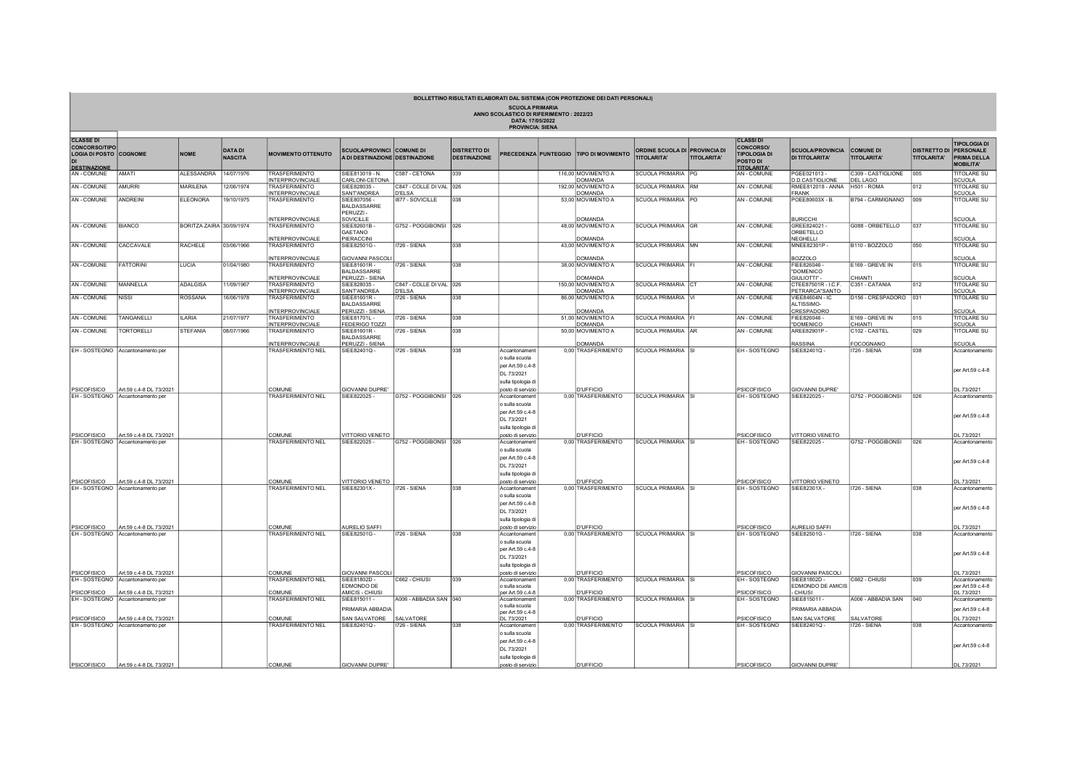| BOLLETTINO RISULTATI ELABORATI DAL SISTEMA (CON PROTEZIONE DEI DATI PERSONALI)<br><b>SCUOLA PRIMARIA</b><br>ANNO SCOLASTICO DI RIFERIMENTO: 2022/23<br>DATA: 17/05/2022 |                                                                                                  |                          |                                  |                                                 |                                                                    |                                          |                                            |                                                                                             |  |                                        |                                                     |                    |                                                                                                      |                                                    |                                        |                                                     |                                                        |
|-------------------------------------------------------------------------------------------------------------------------------------------------------------------------|--------------------------------------------------------------------------------------------------|--------------------------|----------------------------------|-------------------------------------------------|--------------------------------------------------------------------|------------------------------------------|--------------------------------------------|---------------------------------------------------------------------------------------------|--|----------------------------------------|-----------------------------------------------------|--------------------|------------------------------------------------------------------------------------------------------|----------------------------------------------------|----------------------------------------|-----------------------------------------------------|--------------------------------------------------------|
|                                                                                                                                                                         |                                                                                                  |                          |                                  |                                                 |                                                                    |                                          |                                            | <b>PROVINCIA: SIENA</b>                                                                     |  |                                        |                                                     |                    |                                                                                                      |                                                    |                                        |                                                     |                                                        |
| <b>CLASSE DI</b><br><b>CONCORSO/TIPO</b><br><b>LOGIA DI POSTO COGNOME</b><br><b>DESTINAZIONE</b>                                                                        |                                                                                                  | <b>NOME</b>              | <b>DATA DI</b><br><b>NASCITA</b> | <b>MOVIMENTO OTTENUTO</b>                       | <b>SCUOLA/PROVINCI COMUNE DI</b><br>A DI DESTINAZIONE DESTINAZIONE |                                          | <b>DISTRETTO DI</b><br><b>DESTINAZIONE</b> |                                                                                             |  | RECEDENZA PUNTEGGIO TIPO DI MOVIMENTO  | ORDINE SCUOLA DI PROVINCIA DI<br><b>TITOLARITA'</b> | <b>TITOLARITA'</b> | <b>CLASSI DI</b><br><b>CONCORSO/</b><br><b>TIPOLOGIA DI</b><br><b>POSTO DI</b><br><b>TITOLARITA'</b> | <b>SCUOLA/PROVINCIA</b><br><b>DI TITOLARITA'</b>   | <b>COMUNE DI</b><br><b>TITOLARITA'</b> | <b>DISTRETTO DI PERSONALE</b><br><b>TITOLARITA'</b> | <b>TIPOLOGIA DI</b><br>PRIMA DELLA<br><b>MOBILITA'</b> |
| AN - COMUNE                                                                                                                                                             | <b>TAMA</b>                                                                                      | <b>ALESSANDRA</b>        | 14/07/1976                       | <b>TRASFERIMENTO</b><br><b>INTERPROVINCIALE</b> | SIEE813019 - N.                                                    | C587 - CETONA                            | 039                                        |                                                                                             |  | 116.00 MOVIMENTO A<br><b>DOMANDA</b>   | SCUOLA PRIMARIA PG                                  |                    | <b>AN-COMUNE</b>                                                                                     | PGEE021013-                                        | C309 - CASTIGLIONE                     | 005                                                 | <b>TITOLARE SU</b>                                     |
| AN - COMUNE                                                                                                                                                             | <b>MURRI</b>                                                                                     | <b>MARILENA</b>          | 12/06/1974                       | <b>TRASFERIMENTO</b>                            | CARLONI-CETONA<br>SIEE828035 -                                     | C847 - COLLE DI VAL 026                  |                                            |                                                                                             |  | 192,00 MOVIMENTO A                     | SCUOLA PRIMARIA RM                                  |                    | AN - COMUNE                                                                                          | <b>D.D.CASTIGLIONE</b><br>RMEE812018 - ANNA        | DEL LAGO<br>H501 - ROMA                | 012                                                 | <b>SCUOLA</b><br><b>TITOLARE SU</b>                    |
|                                                                                                                                                                         |                                                                                                  |                          |                                  | <b>INTERPROVINCIALE</b>                         | SANT'ANDREA                                                        | <b>D'ELSA</b>                            |                                            |                                                                                             |  | DOMANDA                                |                                                     |                    |                                                                                                      | <b>FRANK</b>                                       |                                        |                                                     | <b>SCUOLA</b>                                          |
| AN - COMUNE                                                                                                                                                             | <b>ANDREINI</b>                                                                                  | <b>ELEONORA</b>          | 19/10/1975                       | TRASFERIMENTO<br><b>INTERPROVINCIALE</b>        | SIEE807056-<br><b>BALDASSARRE</b><br>PERUZZI-<br>SOVICILLE         | 1877 - SOVICILLE                         | 038                                        |                                                                                             |  | 53,00 MOVIMENTO A<br><b>DOMANDA</b>    | SCUOLA PRIMARIA PO                                  |                    | AN - COMUNE                                                                                          | POEE80603X - B.<br><b>BURICCHI</b>                 | B794 - CARMIGNANO                      | 009                                                 | <b>TITOLARE SU</b><br><b>SCUOLA</b>                    |
| AN - COMUNE                                                                                                                                                             | <b>BIANCO</b>                                                                                    | BORITZA ZAIRA 30/09/1974 |                                  | TRASFERIMENTO<br><b>INTERPROVINCIALE</b>        | SIEE82601B-<br>GAETANO<br>PIERACCINI                               | G752 - POGGIBONSI 026                    |                                            |                                                                                             |  | 48,00 MOVIMENTO A<br><b>DOMANDA</b>    | SCUOLA PRIMARIA GR                                  |                    | AN - COMUNE                                                                                          | GREE824021 -<br>ORBETELLO<br><b>NEGHELLI</b>       | G088 - ORBETELLO                       | 037                                                 | <b>TITOLARE SU</b><br>SCUOLA                           |
| AN - COMUNE                                                                                                                                                             | CACCAVALE                                                                                        | RACHELE                  | 03/06/1966                       | <b>TRASFERIMENTO</b>                            | SIEE82501G -                                                       | <b>1726 - SIENA</b>                      | 038                                        |                                                                                             |  | 43,00 MOVIMENTO A                      | SCUOLA PRIMARIA MN                                  |                    | AN - COMUNE                                                                                          | MNEE82301P-                                        | B <sub>110</sub> - BOZZOLO             | 050                                                 | <b>TITOLARE SU</b>                                     |
| AN - COMUNE                                                                                                                                                             | <b>FATTORINI</b>                                                                                 | LUCIA                    | 01/04/1980                       | NTERPROVINCIALE<br><b>TRASFERIMENTO</b>         | <b>GIOVANNI PASCO</b><br>SIEE81601R -<br><b>BALDASSARRE</b>        | <b>1726 - SIENA</b>                      | 038                                        |                                                                                             |  | <b>OMANDA</b><br>38,00 MOVIMENTO A     | SCUOLA PRIMARIA FI                                  |                    | <b>AN-COMUNE</b>                                                                                     | <b>BOZZOLO</b><br>FIEE826046 -<br>"DOMENICO        | E169 - GREVE IN                        | 015                                                 | <b>SCUOLA</b><br><b>TITOLARE SU</b>                    |
|                                                                                                                                                                         |                                                                                                  |                          |                                  | NTERPROVINCIALE                                 | PERUZZI - SIENA                                                    |                                          |                                            |                                                                                             |  | DOMANDA                                |                                                     |                    |                                                                                                      | GIULIOTTI" -                                       | CHIANTI                                |                                                     | SCUOLA                                                 |
| AN - COMUNE                                                                                                                                                             | <b>MANNELLA</b>                                                                                  | ADALGISA                 | 11/09/1967                       | TRASFERIMENTO<br><b>INTERPROVINCIALE</b>        | SIFF828035-<br>SANT'ANDREA                                         | C847 - COLLE DI VAL 026<br><b>D'ELSA</b> |                                            |                                                                                             |  | 150,00 MOVIMENTO A<br><b>DOMANDA</b>   | SCUOLA PRIMARIA CT                                  |                    | AN - COMUNE                                                                                          | CTEE87501R - I.C.F.<br>PETRARCA"SANTO              | C351 - CATANIA                         | 012                                                 | <b>TITOLARE SU</b><br><b>SCUOLA</b>                    |
| AN - COMUNE                                                                                                                                                             | <b>NISSI</b>                                                                                     | ROSSANA                  | 16/06/1978                       | TRASFERIMENTO<br><b>INTERPROVINCIALE</b>        | SIFF81601R-<br>BALDASSARRE<br>PERUZZI - SIENA                      | <b>1726 - SIENA</b>                      | 038                                        |                                                                                             |  | 86,00 MOVIMENTO A<br>DOMANDA           | SCUOLA PRIMARIA VI                                  |                    | AN - COMUNE                                                                                          | <b>VIFF84604N - IC</b><br>ALTISSIMO-<br>CRESPADORO | D <sub>156</sub> - CRESPADORO          | 031                                                 | <b>TITOLARE SU</b><br>SCUOLA                           |
| AN - COMUNE                                                                                                                                                             | TANGANELLI                                                                                       | <b>ILARIA</b>            | 21/07/1977                       | <b>TRASFERIMENTO</b>                            | SIEE81701L-                                                        | <b>1726 - SIENA</b>                      | 038                                        |                                                                                             |  | 51,00 MOVIMENTO A                      | SCUOLA PRIMARIA FI                                  |                    | <b>AN-COMUNE</b>                                                                                     | FIEE826046                                         | E169 - GREVE IN                        | 015                                                 | <b>TITOLARE SU</b>                                     |
| AN - COMUNE                                                                                                                                                             | <b>TORTORELLI</b>                                                                                | STEFANIA                 | 08/07/1966                       | <b>INTERPROVINCIALE</b><br><b>TRASFERIMENTO</b> | <b>FEDERIGO TOZZI</b><br>SIFF81601R-<br><b>BALDASSARRE</b>         | <b>1726 - SIENA</b>                      | 038                                        |                                                                                             |  | <b>DOMANDA</b><br>50,00 MOVIMENTO A    | SCUOLA PRIMARIA AR                                  |                    | AN - COMUNE                                                                                          | "DOMENICO<br>ARFF82901P                            | CHIANTI<br>C102 - CASTEL               | 029                                                 | <b>SCUOLA</b><br><b>TITOLARE SU</b>                    |
|                                                                                                                                                                         | EH - SOSTEGNO Accantonamento per                                                                 |                          |                                  | <b>NTERPROVINCIALE</b><br>TRASFERIMENTO NEL     | PERUZZI - SIENA<br>SIEE82401Q -                                    | <b>1726 - SIENA</b>                      | 0.38                                       | Accantonament                                                                               |  | <b>DOMANDA</b><br>0,00 TRASFERIMENTO   | SCUOLA PRIMARIA SI                                  |                    | EH-SOSTEGNO                                                                                          | RASSINA<br>SIEE82401Q -                            | <b>FOCOGNANO</b><br>I726 - SIENA       | 038                                                 | <b>SCUOLA</b><br>Accantonamento                        |
| PSICOFISICO                                                                                                                                                             | Art.59 c.4-8 DL 73/2021                                                                          |                          |                                  | COMUNE                                          | <b>GIOVANNI DUPRE'</b>                                             |                                          |                                            | o sulla scuola<br>per Art.59 c.4-8<br>DL 73/2021<br>sulla tipologia di<br>posto di servizio |  | <b>D'UFFICIO</b>                       |                                                     |                    | <b>PSICOFISICO</b>                                                                                   | <b>GIOVANNI DUPRE'</b>                             |                                        |                                                     | per Art.59 c.4-8<br>DL 73/2021                         |
|                                                                                                                                                                         | EH - SOSTEGNO Accantonamento per                                                                 |                          |                                  | TRASFERIMENTO NEL                               | SIEE822025-                                                        | G752 - POGGIBONSI 026                    |                                            | Accantonament<br>o sulla scuola<br>per Art.59 c.4-8<br>DL 73/2021<br>sulla tipologia di     |  | 0,00 TRASFERIMENTO                     | SCUOLA PRIMARIA SI                                  |                    | EH-SOSTEGNO                                                                                          | SIFF822025-                                        | G752 - POGGIBONSI                      | 026                                                 | Accantonamento<br>per Art.59 c.4-8                     |
| PSICOFISICO                                                                                                                                                             | Art.59 c.4-8 DL 73/2021<br>EH - SOSTEGNO Accantonamento per                                      |                          |                                  | COMUNE<br><b>TRASFERIMENTO NEL</b>              | VITTORIO VENETO<br>SIEE822025                                      | G752 - POGGIBONSI 026                    |                                            | posto di servizio<br>Accantonament                                                          |  | <b>D'UFFICIO</b><br>0,00 TRASFERIMENTO | SCUOLA PRIMARIA SI                                  |                    | PSICOFISICO<br>EH - SOSTEGNO                                                                         | VITTORIO VENETO<br>SIEE822025-                     | G752 - POGGIBONSI                      | 026                                                 | DL 73/2021<br>Accantonamento                           |
|                                                                                                                                                                         |                                                                                                  |                          |                                  |                                                 |                                                                    |                                          |                                            | o sulla scuola<br>per Art.59 c.4-8<br>DL 73/2021<br>sulla tipologia di                      |  |                                        |                                                     |                    |                                                                                                      |                                                    |                                        |                                                     | per Art.59 c.4-8                                       |
| PSICOFISICO                                                                                                                                                             | Art.59 c.4-8 DL 73/2021<br>EH - SOSTEGNO Accantonamento per                                      |                          |                                  | COMUNE<br><b>TRASFERIMENTO NEL</b>              | <b>VITTORIO VENETO</b><br>SIFF82301X-                              | <b>726 - SIENA</b>                       | 038                                        | posto di servizio<br>Accantonament                                                          |  | <b>D'UFFICIO</b><br>0.00 TRASFERIMENTO | SCUOLA PRIMARIA SI                                  |                    | PSICOFISICO<br>EH-SOSTEGNO                                                                           | <b>VITTORIO VENETO</b><br>SIFF82301X-              | I726 - SIENA                           | 038                                                 | DL 73/2021<br>Accantonamento                           |
|                                                                                                                                                                         |                                                                                                  |                          |                                  |                                                 |                                                                    |                                          |                                            | o sulla scuola<br>per Art.59 c.4-8<br>DL 73/2021<br>sulla tipologia di                      |  |                                        |                                                     |                    |                                                                                                      |                                                    |                                        |                                                     | per Art.59 c.4-8                                       |
| PSICOFISICO                                                                                                                                                             | Art.59 c.4-8 DL 73/2021<br>EH - SOSTEGNO Accantonamento per                                      |                          |                                  | COMUNE<br>TRASFERIMENTO NEL                     | <b>AURELIO SAFFI</b><br>SIFF82501G-                                | <b>1726 - SIENA</b>                      | 0.38                                       | posto di servizio<br>Accantonament                                                          |  | <b>D'UFFICIO</b><br>0.00 TRASFERIMENTO | SCUOLA PRIMARIA SI                                  |                    | PSICOFISICO<br>EH-SOSTEGNO                                                                           | AURELIO SAFFI<br>SIFF82501G-                       | I726 - SIENA                           | 038                                                 | DL 73/2021<br>Accantonamento                           |
|                                                                                                                                                                         |                                                                                                  |                          |                                  |                                                 |                                                                    |                                          |                                            | o sulla scuola<br>per Art.59 c.4-8<br>DL 73/2021<br>sulla tipologia di                      |  |                                        |                                                     |                    |                                                                                                      |                                                    |                                        |                                                     | per Art.59 c.4-8                                       |
| PSICOFISICO                                                                                                                                                             | Art.59 c.4-8 DL 73/2021                                                                          |                          |                                  | COMUNE                                          | <b>GIOVANNI PASCOL</b>                                             |                                          | 039                                        | posto di servizio                                                                           |  | <b>D'UFFICIO</b>                       |                                                     |                    | <b>PSICOFISICO</b>                                                                                   | <b>GIOVANNI PASCOLI</b>                            |                                        |                                                     | DL 73/2021                                             |
| <b>PSICOFISICO</b>                                                                                                                                                      | EH - SOSTEGNO Accantonamento per<br>Art.59 c.4-8 DL 73/2021                                      |                          |                                  | <b>TRASFERIMENTO NEL</b><br>COMUNE              | SIEE81802D -<br>EDMONDO DE<br>AMICIS - CHIUS                       | C662 - CHIUSI                            |                                            | Accantonament<br>o sulla scuola<br>per Art.59 c.4-8                                         |  | 0,00 TRASFERIMENTO<br><b>D'UFFICIO</b> | SCUOLA PRIMARIA SI                                  |                    | EH-SOSTEGNO<br>PSICOFISICO                                                                           | SIEE81802D -<br>EDMONDO DE AMICIS<br>CHIUSI        | C662 - CHIUSI                          | 039                                                 | Accantonamento<br>per Art.59 c.4-8<br>DL 73/2021       |
|                                                                                                                                                                         | EH - SOSTEGNO Accantonamento per                                                                 |                          |                                  | <b>RASFERIMENTO NEL</b>                         | SIEE815011 -<br>PRIMARIA ABBADIA                                   | A006 - ABBADIA SAN 1040                  |                                            | Accantonament<br>o sulla scuola<br>per Art.59 c.4-8                                         |  | 0,00 TRASFERIMENTO                     | SCUOLA PRIMARIA SI                                  |                    | EH-SOSTEGNO                                                                                          | SIEE815011 -<br>PRIMARIA ABBADIA                   | A006 - ABBADIA SAN                     | 040                                                 | Accantonamento<br>per Art.59 c.4-8                     |
|                                                                                                                                                                         | PSICOFISICO Art.59 c.4-8 DL 73/20<br>EH - SOSTEGNO Accantonamento per<br>Art.59 c.4-8 DL 73/2021 |                          |                                  | COMUNE<br><b>TRASFERIMENTO NEL</b>              | SAN SALVATORE<br>SIEE82401Q-                                       | SALVATORE<br>1726 - SIENA                | 038                                        | DL 73/2021<br>Accantonament                                                                 |  | <b>D'UFFICIO</b><br>0,00 TRASFERIMENTO | SCUOLA PRIMARIA SI                                  |                    | PSICOFISICO<br>EH-SOSTEGNO                                                                           | SAN SALVATORE<br>SIEE82401Q-                       | SALVATORE<br><b>726 - SIENA</b>        | 038                                                 | DL 73/2021<br>Accantonamento                           |
|                                                                                                                                                                         |                                                                                                  |                          |                                  |                                                 |                                                                    |                                          |                                            | o sulla scuola<br>per Art.59 c.4-8<br>DL 73/2021<br>sulla tipologia di                      |  |                                        |                                                     |                    |                                                                                                      |                                                    |                                        |                                                     | per Art.59 c.4-8                                       |
| PSICOFISICO                                                                                                                                                             | Art.59 c.4-8 DL 73/2021                                                                          |                          |                                  | COMUNE                                          | <b>GIOVANNI DUPRE'</b>                                             |                                          |                                            | posto di servizio                                                                           |  | <b>D'UFFICIO</b>                       |                                                     |                    | PSICOFISICO                                                                                          | <b>GIOVANNI DUPRE'</b>                             |                                        |                                                     | DL 73/2021                                             |